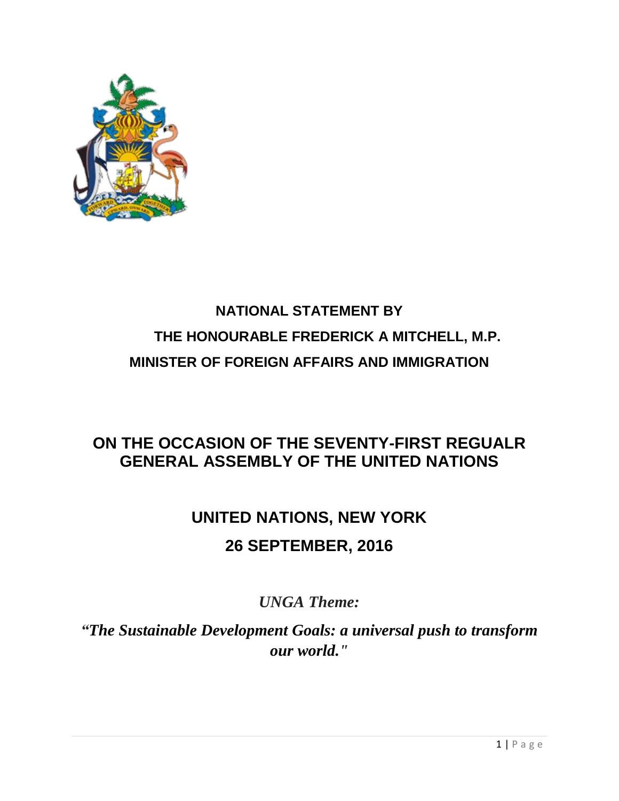

## **NATIONAL STATEMENT BY THE HONOURABLE FREDERICK A MITCHELL, M.P. MINISTER OF FOREIGN AFFAIRS AND IMMIGRATION**

### **ON THE OCCASION OF THE SEVENTY-FIRST REGUALR GENERAL ASSEMBLY OF THE UNITED NATIONS**

# **UNITED NATIONS, NEW YORK 26 SEPTEMBER, 2016**

*UNGA Theme:* 

*"The Sustainable Development Goals: a universal push to transform our world."*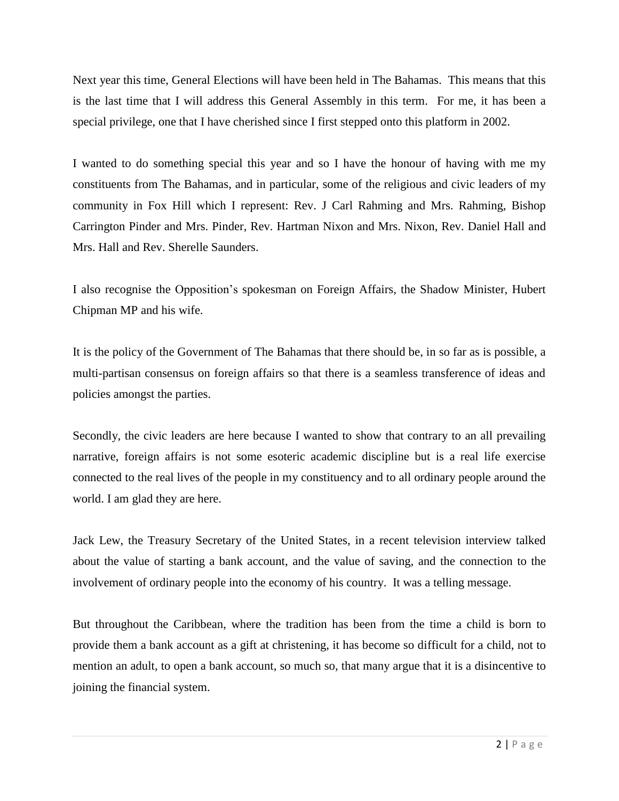Next year this time, General Elections will have been held in The Bahamas. This means that this is the last time that I will address this General Assembly in this term. For me, it has been a special privilege, one that I have cherished since I first stepped onto this platform in 2002.

I wanted to do something special this year and so I have the honour of having with me my constituents from The Bahamas, and in particular, some of the religious and civic leaders of my community in Fox Hill which I represent: Rev. J Carl Rahming and Mrs. Rahming, Bishop Carrington Pinder and Mrs. Pinder, Rev. Hartman Nixon and Mrs. Nixon, Rev. Daniel Hall and Mrs. Hall and Rev. Sherelle Saunders.

I also recognise the Opposition's spokesman on Foreign Affairs, the Shadow Minister, Hubert Chipman MP and his wife.

It is the policy of the Government of The Bahamas that there should be, in so far as is possible, a multi-partisan consensus on foreign affairs so that there is a seamless transference of ideas and policies amongst the parties.

Secondly, the civic leaders are here because I wanted to show that contrary to an all prevailing narrative, foreign affairs is not some esoteric academic discipline but is a real life exercise connected to the real lives of the people in my constituency and to all ordinary people around the world. I am glad they are here.

Jack Lew, the Treasury Secretary of the United States, in a recent television interview talked about the value of starting a bank account, and the value of saving, and the connection to the involvement of ordinary people into the economy of his country. It was a telling message.

But throughout the Caribbean, where the tradition has been from the time a child is born to provide them a bank account as a gift at christening, it has become so difficult for a child, not to mention an adult, to open a bank account, so much so, that many argue that it is a disincentive to joining the financial system.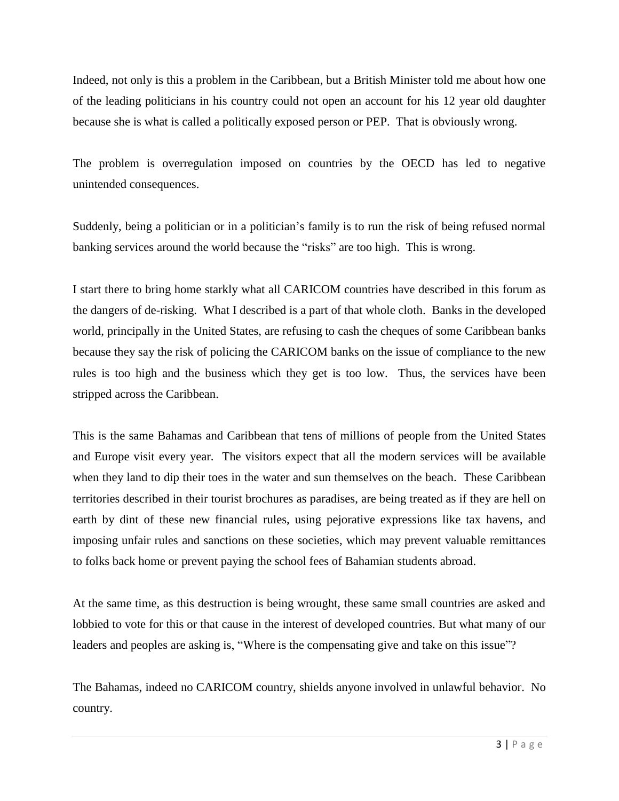Indeed, not only is this a problem in the Caribbean, but a British Minister told me about how one of the leading politicians in his country could not open an account for his 12 year old daughter because she is what is called a politically exposed person or PEP. That is obviously wrong.

The problem is overregulation imposed on countries by the OECD has led to negative unintended consequences.

Suddenly, being a politician or in a politician's family is to run the risk of being refused normal banking services around the world because the "risks" are too high. This is wrong.

I start there to bring home starkly what all CARICOM countries have described in this forum as the dangers of de-risking. What I described is a part of that whole cloth. Banks in the developed world, principally in the United States, are refusing to cash the cheques of some Caribbean banks because they say the risk of policing the CARICOM banks on the issue of compliance to the new rules is too high and the business which they get is too low. Thus, the services have been stripped across the Caribbean.

This is the same Bahamas and Caribbean that tens of millions of people from the United States and Europe visit every year. The visitors expect that all the modern services will be available when they land to dip their toes in the water and sun themselves on the beach. These Caribbean territories described in their tourist brochures as paradises, are being treated as if they are hell on earth by dint of these new financial rules, using pejorative expressions like tax havens, and imposing unfair rules and sanctions on these societies, which may prevent valuable remittances to folks back home or prevent paying the school fees of Bahamian students abroad.

At the same time, as this destruction is being wrought, these same small countries are asked and lobbied to vote for this or that cause in the interest of developed countries. But what many of our leaders and peoples are asking is, "Where is the compensating give and take on this issue"?

The Bahamas, indeed no CARICOM country, shields anyone involved in unlawful behavior. No country.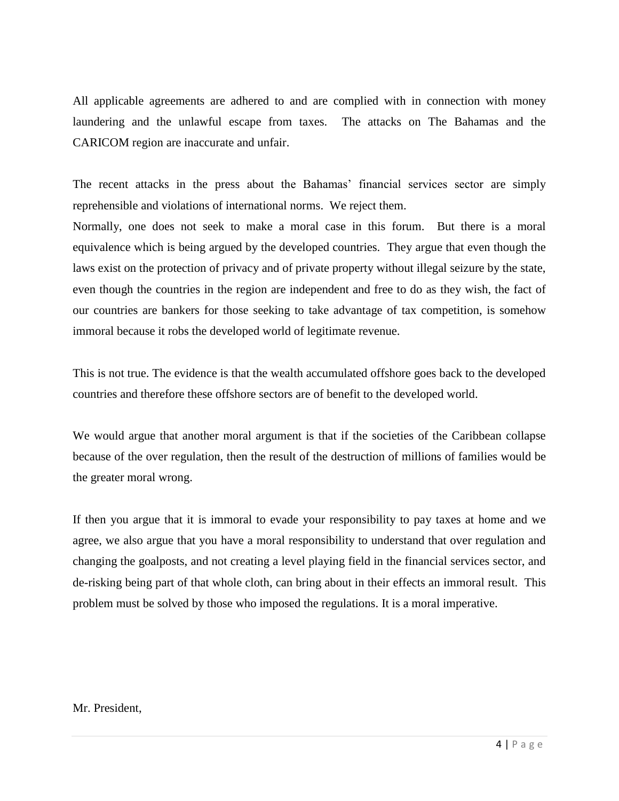All applicable agreements are adhered to and are complied with in connection with money laundering and the unlawful escape from taxes. The attacks on The Bahamas and the CARICOM region are inaccurate and unfair.

The recent attacks in the press about the Bahamas' financial services sector are simply reprehensible and violations of international norms. We reject them.

Normally, one does not seek to make a moral case in this forum. But there is a moral equivalence which is being argued by the developed countries. They argue that even though the laws exist on the protection of privacy and of private property without illegal seizure by the state, even though the countries in the region are independent and free to do as they wish, the fact of our countries are bankers for those seeking to take advantage of tax competition, is somehow immoral because it robs the developed world of legitimate revenue.

This is not true. The evidence is that the wealth accumulated offshore goes back to the developed countries and therefore these offshore sectors are of benefit to the developed world.

We would argue that another moral argument is that if the societies of the Caribbean collapse because of the over regulation, then the result of the destruction of millions of families would be the greater moral wrong.

If then you argue that it is immoral to evade your responsibility to pay taxes at home and we agree, we also argue that you have a moral responsibility to understand that over regulation and changing the goalposts, and not creating a level playing field in the financial services sector, and de-risking being part of that whole cloth, can bring about in their effects an immoral result. This problem must be solved by those who imposed the regulations. It is a moral imperative.

#### Mr. President,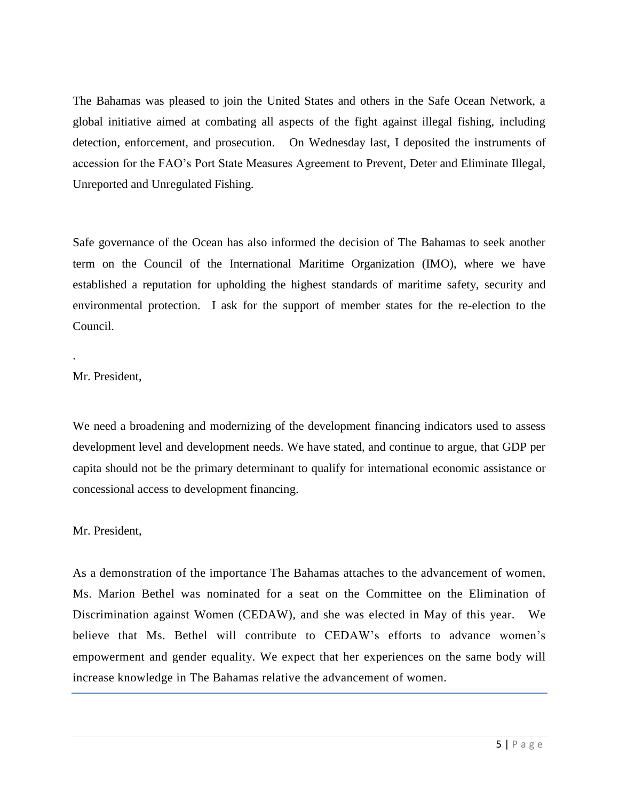The Bahamas was pleased to join the United States and others in the Safe Ocean Network, a global initiative aimed at combating all aspects of the fight against illegal fishing, including detection, enforcement, and prosecution. On Wednesday last, I deposited the instruments of accession for the FAO's Port State Measures Agreement to Prevent, Deter and Eliminate Illegal, Unreported and Unregulated Fishing.

Safe governance of the Ocean has also informed the decision of The Bahamas to seek another term on the Council of the International Maritime Organization (IMO), where we have established a reputation for upholding the highest standards of maritime safety, security and environmental protection. I ask for the support of member states for the re-election to the Council.

#### Mr. President,

.

We need a broadening and modernizing of the development financing indicators used to assess development level and development needs. We have stated, and continue to argue, that GDP per capita should not be the primary determinant to qualify for international economic assistance or concessional access to development financing.

#### Mr. President,

As a demonstration of the importance The Bahamas attaches to the advancement of women, Ms. Marion Bethel was nominated for a seat on the Committee on the Elimination of Discrimination against Women (CEDAW), and she was elected in May of this year. We believe that Ms. Bethel will contribute to CEDAW's efforts to advance women's empowerment and gender equality. We expect that her experiences on the same body will increase knowledge in The Bahamas relative the advancement of women.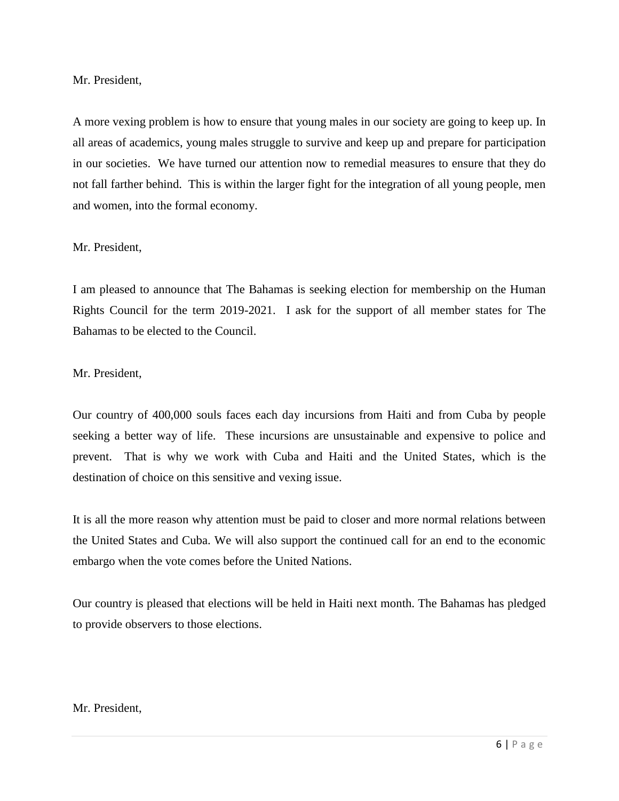Mr. President,

A more vexing problem is how to ensure that young males in our society are going to keep up. In all areas of academics, young males struggle to survive and keep up and prepare for participation in our societies. We have turned our attention now to remedial measures to ensure that they do not fall farther behind. This is within the larger fight for the integration of all young people, men and women, into the formal economy.

#### Mr. President,

I am pleased to announce that The Bahamas is seeking election for membership on the Human Rights Council for the term 2019-2021. I ask for the support of all member states for The Bahamas to be elected to the Council.

#### Mr. President,

Our country of 400,000 souls faces each day incursions from Haiti and from Cuba by people seeking a better way of life. These incursions are unsustainable and expensive to police and prevent. That is why we work with Cuba and Haiti and the United States, which is the destination of choice on this sensitive and vexing issue.

It is all the more reason why attention must be paid to closer and more normal relations between the United States and Cuba. We will also support the continued call for an end to the economic embargo when the vote comes before the United Nations.

Our country is pleased that elections will be held in Haiti next month. The Bahamas has pledged to provide observers to those elections.

#### Mr. President,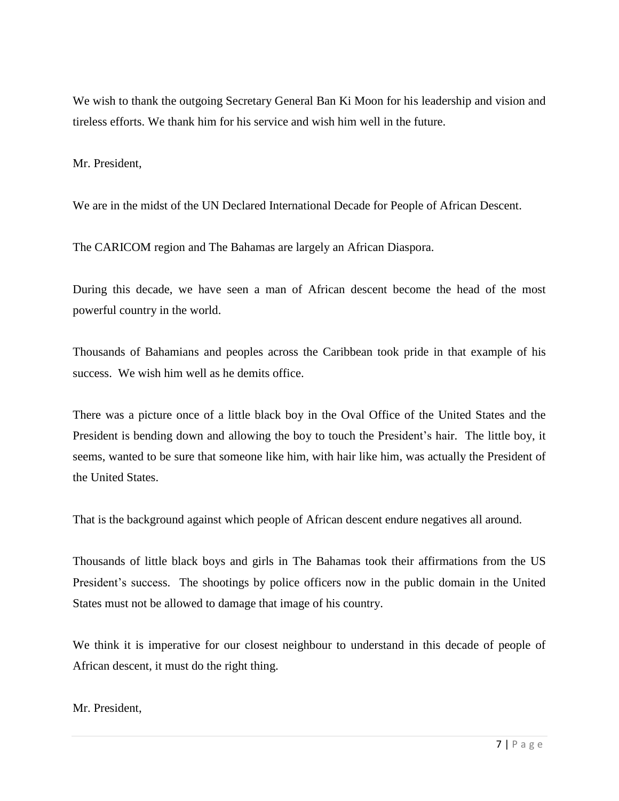We wish to thank the outgoing Secretary General Ban Ki Moon for his leadership and vision and tireless efforts. We thank him for his service and wish him well in the future.

Mr. President,

We are in the midst of the UN Declared International Decade for People of African Descent.

The CARICOM region and The Bahamas are largely an African Diaspora.

During this decade, we have seen a man of African descent become the head of the most powerful country in the world.

Thousands of Bahamians and peoples across the Caribbean took pride in that example of his success. We wish him well as he demits office.

There was a picture once of a little black boy in the Oval Office of the United States and the President is bending down and allowing the boy to touch the President's hair. The little boy, it seems, wanted to be sure that someone like him, with hair like him, was actually the President of the United States.

That is the background against which people of African descent endure negatives all around.

Thousands of little black boys and girls in The Bahamas took their affirmations from the US President's success. The shootings by police officers now in the public domain in the United States must not be allowed to damage that image of his country.

We think it is imperative for our closest neighbour to understand in this decade of people of African descent, it must do the right thing.

Mr. President,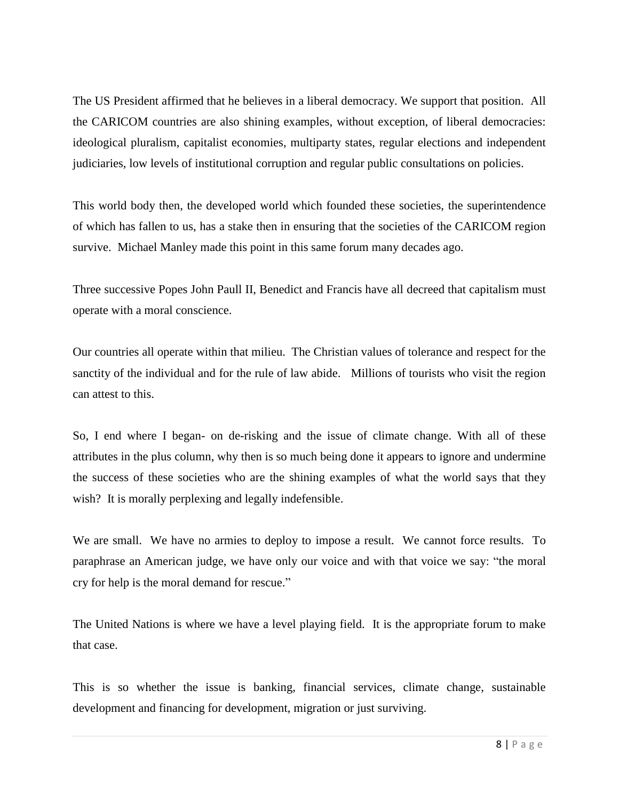The US President affirmed that he believes in a liberal democracy. We support that position. All the CARICOM countries are also shining examples, without exception, of liberal democracies: ideological pluralism, capitalist economies, multiparty states, regular elections and independent judiciaries, low levels of institutional corruption and regular public consultations on policies.

This world body then, the developed world which founded these societies, the superintendence of which has fallen to us, has a stake then in ensuring that the societies of the CARICOM region survive. Michael Manley made this point in this same forum many decades ago.

Three successive Popes John Paull II, Benedict and Francis have all decreed that capitalism must operate with a moral conscience.

Our countries all operate within that milieu. The Christian values of tolerance and respect for the sanctity of the individual and for the rule of law abide. Millions of tourists who visit the region can attest to this.

So, I end where I began- on de-risking and the issue of climate change. With all of these attributes in the plus column, why then is so much being done it appears to ignore and undermine the success of these societies who are the shining examples of what the world says that they wish? It is morally perplexing and legally indefensible.

We are small. We have no armies to deploy to impose a result. We cannot force results. To paraphrase an American judge, we have only our voice and with that voice we say: "the moral cry for help is the moral demand for rescue."

The United Nations is where we have a level playing field. It is the appropriate forum to make that case.

This is so whether the issue is banking, financial services, climate change, sustainable development and financing for development, migration or just surviving.